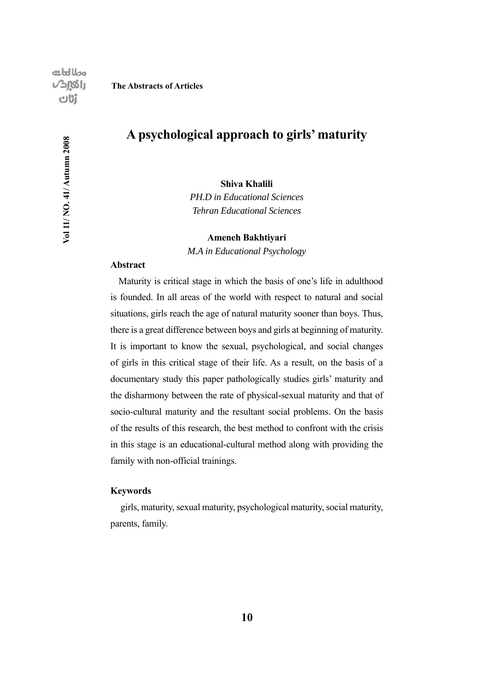Vol 11/NO. 41/Autumn 2008

#### **The Abstracts of Articles**

## **A psychological approach to girls' maturity**

**Shiva Khalili**

*PH.D in Educational Sciences Tehran Educational Sciences*

**Ameneh Bakhtiyari**

*M.A in Educational Psychology*

#### **Abstract**

Maturity is critical stage in which the basis of one's life in adulthood is founded. In all areas of the world with respect to natural and social situations, girls reach the age of natural maturity sooner than boys. Thus, there is a great difference between boys and girls at beginning of maturity. It is important to know the sexual, psychological, and social changes of girls in this critical stage of their life. As a result, on the basis of a documentary study this paper pathologically studies girls' maturity and the disharmony between the rate of physical-sexual maturity and that of socio-cultural maturity and the resultant social problems. On the basis of the results of this research, the best method to confront with the crisis in this stage is an educational-cultural method along with providing the family with non-official trainings.

#### **Keywords**

 girls, maturity, sexual maturity, psychological maturity, social maturity, parents, family.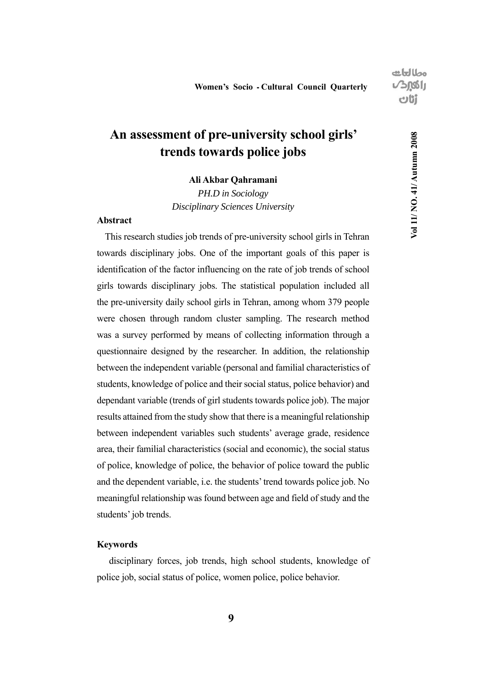## **An assessment of pre-university school girls' trends towards police jobs**

### **Ali Akbar Qahramani**

*PH.D in Sociology Disciplinary Sciences University*

### **Abstract**

This research studies job trends of pre-university school girls in Tehran towards disciplinary jobs. One of the important goals of this paper is identification of the factor influencing on the rate of job trends of school girls towards disciplinary jobs. The statistical population included all the pre-university daily school girls in Tehran, among whom 379 people were chosen through random cluster sampling. The research method was a survey performed by means of collecting information through a questionnaire designed by the researcher. In addition, the relationship between the independent variable (personal and familial characteristics of students, knowledge of police and their social status, police behavior) and dependant variable (trends of girl students towards police job). The major results attained from the study show that there is a meaningful relationship between independent variables such students' average grade, residence area, their familial characteristics (social and economic), the social status of police, knowledge of police, the behavior of police toward the public and the dependent variable, i.e. the students' trend towards police job. No meaningful relationship was found between age and field of study and the students' job trends.

#### **Keywords**

 disciplinary forces, job trends, high school students, knowledge of police job, social status of police, women police, police behavior.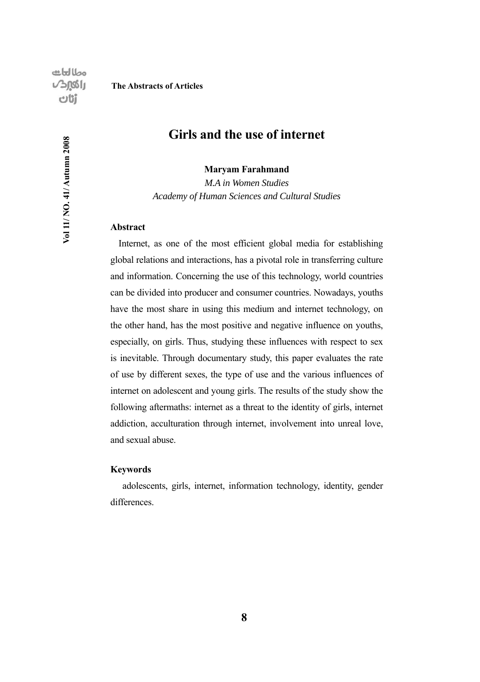Vol 11/NO. 41/Autumn 2008

#### **The Abstracts of Articles**

## **Girls and the use of internet**

**Maryam Farahmand**

*M.A in Women Studies Academy of Human Sciences and Cultural Studies*

### **Abstract**

Internet, as one of the most efficient global media for establishing global relations and interactions, has a pivotal role in transferring culture and information. Concerning the use of this technology, world countries can be divided into producer and consumer countries. Nowadays, youths have the most share in using this medium and internet technology, on the other hand, has the most positive and negative influence on youths, especially, on girls. Thus, studying these influences with respect to sex is inevitable. Through documentary study, this paper evaluates the rate of use by different sexes, the type of use and the various influences of internet on adolescent and young girls. The results of the study show the following aftermaths: internet as a threat to the identity of girls, internet addiction, acculturation through internet, involvement into unreal love, and sexual abuse.

#### **Keywords**

 adolescents, girls, internet, information technology, identity, gender differences.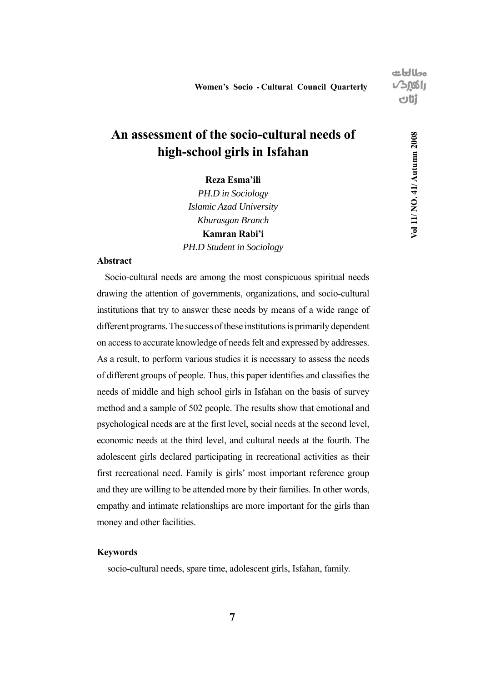## **An assessment of the socio-cultural needs of high-school girls in Isfahan**

**Reza Esma'ili**

*PH.D in Sociology Islamic Azad University Khurasgan Branch* **Kamran Rabi'i** *PH.D Student in Sociology* 

### **Abstract**

Socio-cultural needs are among the most conspicuous spiritual needs drawing the attention of governments, organizations, and socio-cultural institutions that try to answer these needs by means of a wide range of different programs. The success of these institutions is primarily dependent on access to accurate knowledge of needs felt and expressed by addresses. As a result, to perform various studies it is necessary to assess the needs of different groups of people. Thus, this paper identifies and classifies the needs of middle and high school girls in Isfahan on the basis of survey method and a sample of 502 people. The results show that emotional and psychological needs are at the first level, social needs at the second level, economic needs at the third level, and cultural needs at the fourth. The adolescent girls declared participating in recreational activities as their first recreational need. Family is girls' most important reference group and they are willing to be attended more by their families. In other words, empathy and intimate relationships are more important for the girls than money and other facilities.

### **Keywords**

socio-cultural needs, spare time, adolescent girls, Isfahan, family.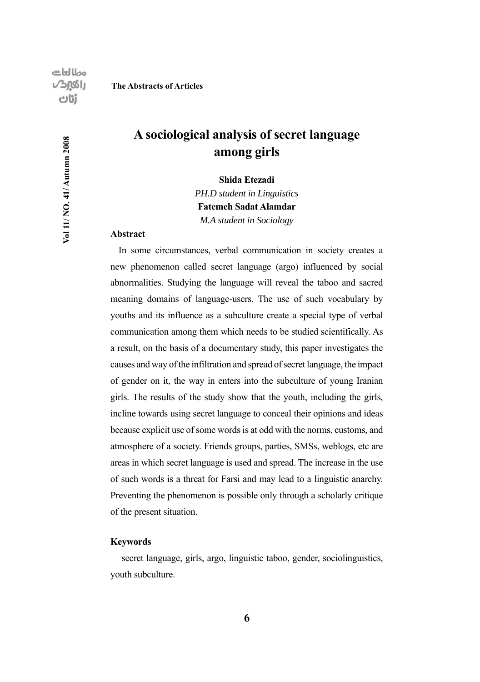Vol 11/ NO. 41/ Autumn 2008

#### **The Abstracts of Articles**

## **A sociological analysis of secret language among girls**

**Shida Etezadi**

*PH.D student in Linguistics* **Fatemeh Sadat Alamdar** *M.A student in Sociology*

#### **Abstract**

In some circumstances, verbal communication in society creates a new phenomenon called secret language (argo) influenced by social abnormalities. Studying the language will reveal the taboo and sacred meaning domains of language-users. The use of such vocabulary by youths and its influence as a subculture create a special type of verbal communication among them which needs to be studied scientifically. As a result, on the basis of a documentary study, this paper investigates the causes and way of the infiltration and spread of secret language, the impact of gender on it, the way in enters into the subculture of young Iranian girls. The results of the study show that the youth, including the girls, incline towards using secret language to conceal their opinions and ideas because explicit use of some words is at odd with the norms, customs, and atmosphere of a society. Friends groups, parties, SMSs, weblogs, etc are areas in which secret language is used and spread. The increase in the use of such words is a threat for Farsi and may lead to a linguistic anarchy. Preventing the phenomenon is possible only through a scholarly critique of the present situation.

#### **Keywords**

 secret language, girls, argo, linguistic taboo, gender, sociolinguistics, youth subculture.

**6**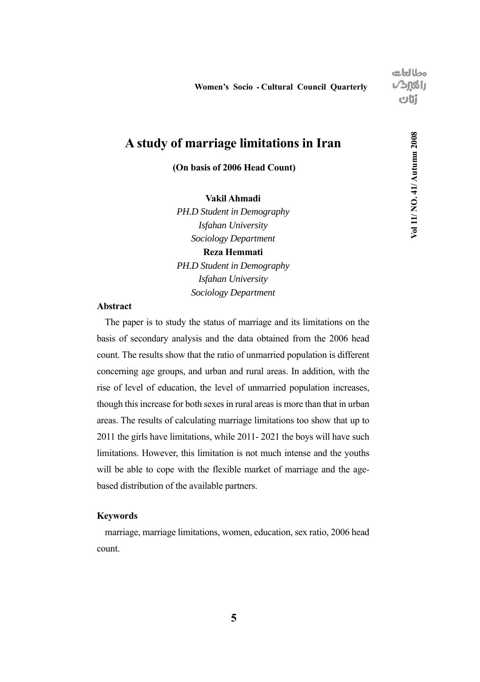مطالعات  $J<sub>0001</sub>$ tilo

**Vol 11/ NO. 41/ Autumn 2008**

Vol 11/ NO. 41/ Autumn 2008

### **A study of marriage limitations in Iran**

 **(On basis of 2006 Head Count)**

**Vakil Ahmadi**

*PH.D Student in Demography Isfahan University Sociology Department* **Reza Hemmati**

*PH.D Student in Demography Isfahan University Sociology Department*

#### **Abstract**

The paper is to study the status of marriage and its limitations on the basis of secondary analysis and the data obtained from the 2006 head count. The results show that the ratio of unmarried population is different concerning age groups, and urban and rural areas. In addition, with the rise of level of education, the level of unmarried population increases, though this increase for both sexes in rural areas is more than that in urban areas. The results of calculating marriage limitations too show that up to 2011 the girls have limitations, while 2011- 2021 the boys will have such limitations. However, this limitation is not much intense and the youths will be able to cope with the flexible market of marriage and the agebased distribution of the available partners.

#### **Keywords**

marriage, marriage limitations, women, education, sex ratio, 2006 head count.